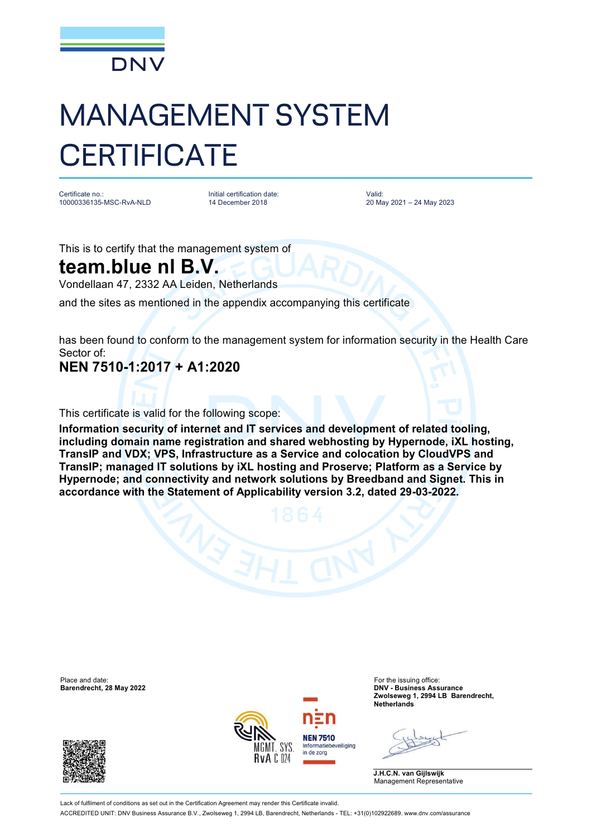

## MANAGEMENT SYSTEM **CERTIFICATE**

Certificate no.: 10000336135-MSC-RvA-NLD

Initial certification date: 14 December 2018

Valid: 20 May 2021 – 24 May 2023

This is to certify that the management system of

## **team.blue nl B.V.**

Vondellaan 47, 2332 AA Leiden, Netherlands

and the sites as mentioned in the appendix accompanying this certificate

has been found to conform to the management system for information security in the Health Care Sector of:

## **NEN 7510-1:2017 + A1:2020**

This certificate is valid for the following scope:

**Information security of internet and IT services and development of related tooling, including domain name registration and shared webhosting by Hypernode, iXL hosting, TransIP and VDX; VPS, Infrastructure as a Service and colocation by CloudVPS and TransIP; managed IT solutions by iXL hosting and Proserve; Platform as a Service by Hypernode; and connectivity and network solutions by Breedband and Signet. This in accordance with the Statement of Applicability version 3.2, dated 29-03-2022.**

Place and date: For the issuing office:





**Barendrecht, 28 May 2022 DNV - Business Assurance Zwolseweg 1, 2994 LB Barendrecht, Netherlands**

**J.H.C.N. van Gijlswijk** Management Representative

Lack of fulfilment of conditions as set out in the Certification Agreement may render this Certificate invalid ACCREDITED UNIT: DNV Business Assurance B.V., Zwolseweg 1, 2994 LB, Barendrecht, Netherlands - TEL: +31(0)102922689. [www.dnv.com/assurance](http://www.dnv.com/assurance)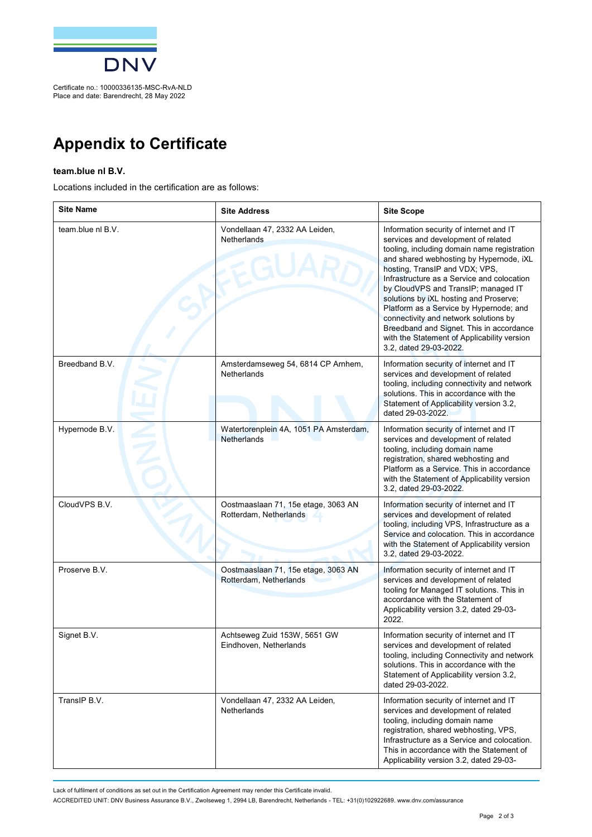

Place and date: Barendrecht, 28 May 2022

**Appendix to Certificate**

## **team.blue nl B.V.**

Locations included in the certification are as follows:

| <b>Site Name</b>  | <b>Site Address</b>                                           | <b>Site Scope</b>                                                                                                                                                                                                                                                                                                                                                                                                                                                                                                                                  |
|-------------------|---------------------------------------------------------------|----------------------------------------------------------------------------------------------------------------------------------------------------------------------------------------------------------------------------------------------------------------------------------------------------------------------------------------------------------------------------------------------------------------------------------------------------------------------------------------------------------------------------------------------------|
| team.blue nl B.V. | Vondellaan 47, 2332 AA Leiden,<br>Netherlands                 | Information security of internet and IT<br>services and development of related<br>tooling, including domain name registration<br>and shared webhosting by Hypernode, iXL<br>hosting, TransIP and VDX; VPS,<br>Infrastructure as a Service and colocation<br>by CloudVPS and TransIP; managed IT<br>solutions by iXL hosting and Proserve;<br>Platform as a Service by Hypernode; and<br>connectivity and network solutions by<br>Breedband and Signet. This in accordance<br>with the Statement of Applicability version<br>3.2, dated 29-03-2022. |
| Breedband B.V.    | Amsterdamseweg 54, 6814 CP Arnhem,<br>Netherlands             | Information security of internet and IT<br>services and development of related<br>tooling, including connectivity and network<br>solutions. This in accordance with the<br>Statement of Applicability version 3.2,<br>dated 29-03-2022.                                                                                                                                                                                                                                                                                                            |
| Hypernode B.V.    | Watertorenplein 4A, 1051 PA Amsterdam,<br><b>Netherlands</b>  | Information security of internet and IT<br>services and development of related<br>tooling, including domain name<br>registration, shared webhosting and<br>Platform as a Service. This in accordance<br>with the Statement of Applicability version<br>3.2, dated 29-03-2022.                                                                                                                                                                                                                                                                      |
| CloudVPS B.V.     | Oostmaaslaan 71, 15e etage, 3063 AN<br>Rotterdam, Netherlands | Information security of internet and IT<br>services and development of related<br>tooling, including VPS, Infrastructure as a<br>Service and colocation. This in accordance<br>with the Statement of Applicability version<br>3.2, dated 29-03-2022.                                                                                                                                                                                                                                                                                               |
| Proserve B.V.     | Oostmaaslaan 71, 15e etage, 3063 AN<br>Rotterdam, Netherlands | Information security of internet and IT<br>services and development of related<br>tooling for Managed IT solutions. This in<br>accordance with the Statement of<br>Applicability version 3.2, dated 29-03-<br>2022.                                                                                                                                                                                                                                                                                                                                |
| Signet B.V.       | Achtseweg Zuid 153W, 5651 GW<br>Eindhoven, Netherlands        | Information security of internet and IT<br>services and development of related<br>tooling, including Connectivity and network<br>solutions. This in accordance with the<br>Statement of Applicability version 3.2,<br>dated 29-03-2022.                                                                                                                                                                                                                                                                                                            |
| TransIP B.V.      | Vondellaan 47, 2332 AA Leiden,<br>Netherlands                 | Information security of internet and IT<br>services and development of related<br>tooling, including domain name<br>registration, shared webhosting, VPS,<br>Infrastructure as a Service and colocation.<br>This in accordance with the Statement of<br>Applicability version 3.2, dated 29-03-                                                                                                                                                                                                                                                    |

Lack of fulfilment of conditions as set out in the Certification Agreement may render this Certificate invalid.

ACCREDITED UNIT: DNV Business Assurance B.V., Zwolseweg 1, 2994 LB, Barendrecht, Netherlands - TEL: +31(0)102922689. [www.dnv.com/assurance](http://www.dnv.com/assurance)